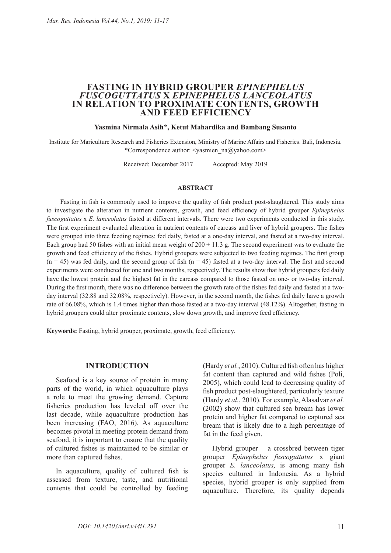# **FASTING IN HYBRID GROUPER** *EPINEPHELUS*  **IN RELATION TO PROXIMATE CONTENTS, GROWTH AND FEED EFFICIENCY**

## **Yasmina Nirmala Asih\*, Ketut Mahardika and Bambang Susanto**

Institute for Mariculture Research and Fisheries Extension, Ministry of Marine Affairs and Fisheries. Bali, Indonesia. \*Correspondence author: <yasmien\_na@yahoo.com>

Received: December 2017 Accepted: May 2019

#### **ABSTRACT**

Fasting in fish is commonly used to improve the quality of fish product post-slaughtered. This study aims to investigate the alteration in nutrient contents, growth, and feed efficiency of hybrid grouper *Epinephelus fuscoguttatus* x *E. lanceolatus* fasted at different intervals. There were two experiments conducted in this study. The first experiment evaluated alteration in nutrient contents of carcass and liver of hybrid groupers. The fishes were grouped into three feeding regimes: fed daily, fasted at a one-day interval, and fasted at a two-day interval. Each group had 50 fishes with an initial mean weight of  $200 \pm 11.3$  g. The second experiment was to evaluate the growth and feed efficiency of the fishes. Hybrid groupers were subjected to two feeding regimes. The first group  $(n = 45)$  was fed daily, and the second group of fish  $(n = 45)$  fasted at a two-day interval. The first and second experiments were conducted for one and two months, respectively. The results show that hybrid groupers fed daily have the lowest protein and the highest fat in the carcass compared to those fasted on one- or two-day interval. During the first month, there was no difference between the growth rate of the fishes fed daily and fasted at a twoday interval (32.88 and 32.08%, respectively). However, in the second month, the fishes fed daily have a growth rate of 66.08%, which is 1.4 times higher than those fasted at a two-day interval (48.12%). Altogether, fasting in hybrid groupers could alter proximate contents, slow down growth, and improve feed efficiency.

**Keywords:** Fasting, hybrid grouper, proximate, growth, feed efficiency.

## **INTRODUCTION**

Seafood is a key source of protein in many parts of the world, in which aquaculture plays a role to meet the growing demand. Capture fisheries production has leveled off over the last decade, while aquaculture production has been increasing (FAO, 2016). As aquaculture becomes pivotal in meeting protein demand from seafood, it is important to ensure that the quality of cultured fishes is maintained to be similar or more than captured fishes.

In aquaculture, quality of cultured fish is assessed from texture, taste, and nutritional contents that could be controlled by feeding

(Hardy *et al.*, 2010). Cultured fish often has higher fat content than captured and wild fishes (Poli, 2005), which could lead to decreasing quality of fish product post-slaughtered, particularly texture (Hardy *et al.*, 2010). For example, Alasalvar *et al.* (2002) show that cultured sea bream has lower protein and higher fat compared to captured sea bream that is likely due to a high percentage of fat in the feed given.

Hybrid grouper  $-$  a crossbred between tiger grouper *Epinephelus fuscoguttatus* x giant grouper *E. lanceolatus,* is among many fish species cultured in Indonesia. As a hybrid species, hybrid grouper is only supplied from aquaculture. Therefore, its quality depends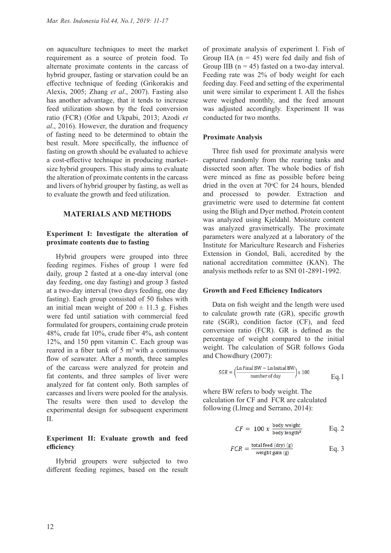on aquaculture techniques to meet the market requirement as a source of protein food. To alternate proximate contents in the carcass of hybrid grouper, fasting or starvation could be an effective technique of feeding (Grikorakis and Alexis, 2005; Zhang *et al*., 2007). Fasting also has another advantage, that it tends to increase feed utilization shown by the feed conversion ratio (FCR) (Ofor and Ukpabi, 2013; Azodi *et al*., 2016). However, the duration and frequency of fasting need to be determined to obtain the best result. More specifically, the influence of fasting on growth should be evaluated to achieve a cost-effective technique in producing marketsize hybrid groupers. This study aims to evaluate the alteration of proximate contents in the carcass and livers of hybrid grouper by fasting, as well as to evaluate the growth and feed utilization.

# **MATERIALS AND METHODS**

# **Experiment I: Investigate the alteration of proximate contents due to fasting**

Hybrid groupers were grouped into three feeding regimes. Fishes of group 1 were fed daily, group 2 fasted at a one-day interval (one day feeding, one day fasting) and group 3 fasted at a two-day interval (two days feeding, one day fasting). Each group consisted of 50 fishes with an initial mean weight of  $200 \pm 11.3$  g. Fishes were fed until satiation with commercial feed formulated for groupers, containing crude protein 48%, crude fat 10%, crude fiber 4%, ash content 12%, and 150 ppm vitamin C. Each group was reared in a fiber tank of  $5 \text{ m}^3$  with a continuous flow of seawater. After a month, three samples of the carcass were analyzed for protein and fat contents, and three samples of liver were analyzed for fat content only. Both samples of carcasses and livers were pooled for the analysis. The results were then used to develop the experimental design for subsequent experiment II.

# **Experiment II: Evaluate growth and feed efficiency**

Hybrid groupers were subjected to two different feeding regimes, based on the result of proximate analysis of experiment I. Fish of Group IIA  $(n = 45)$  were fed daily and fish of Group IIB  $(n = 45)$  fasted on a two-day interval. Feeding rate was 2% of body weight for each feeding day. Feed and setting of the experimental unit were similar to experiment I. All the fishes were weighed monthly, and the feed amount was adjusted accordingly. Experiment II was conducted for two months.

## **Proximate Analysis**

Three fish used for proximate analysis were captured randomly from the rearing tanks and dissected soon after. The whole bodies of fish were minced as fine as possible before being dried in the oven at  $70^{\circ}$ C for 24 hours, blended and processed to powder. Extraction and gravimetric were used to determine fat content using the Bligh and Dyer method. Protein content was analyzed using Kjeldahl. Moisture content was analyzed gravimetrically. The proximate parameters were analyzed at a laboratory of the Institute for Mariculture Research and Fisheries Extension in Gondol, Bali, accredited by the national accreditation committee (KAN). The analysis methods refer to as SNI 01-2891-1992.

## **Growth and Feed Efficiency Indicators**

Data on fish weight and the length were used to calculate growth rate (GR), specific growth rate (SGR), condition factor (CF), and feed conversion ratio (FCR). GR is defined as the percentage of weight compared to the initial weight. The calculation of SGR follows Goda and Chowdhury (2007):

$$
SGR = \left(\frac{\text{Ln Final BW} - \text{Ln Initial BW}}{\text{number of day}}\right) \times 100
$$
 Eq. 1

where BW refers to body weight. The calculation for CF and FCR are calculated following (Llmeg and Serrano, 2014):

$$
CF = 100 \times \frac{\text{body weight}}{\text{body length}^3}
$$
 Eq. 2

$$
FCR = \frac{\text{total feed (dry) (g)}}{\text{weight gain (g)}} \quad \text{Eq. 3}
$$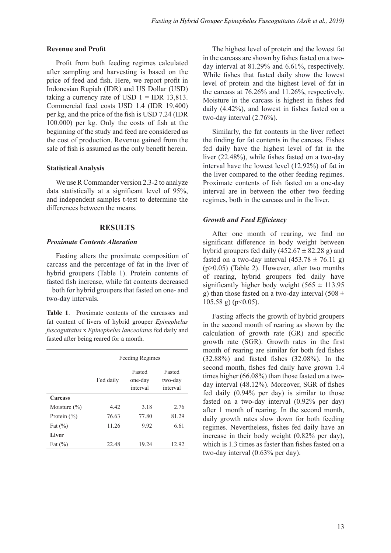#### **Revenue and Profit**

Profit from both feeding regimes calculated after sampling and harvesting is based on the price of feed and fish. Here, we report profit in Indonesian Rupiah (IDR) and US Dollar (USD) taking a currency rate of USD  $1 = IDR$  13,813. Commercial feed costs USD 1.4 (IDR 19,400) per kg, and the price of the fish is USD 7.24 (IDR 100.000) per kg. Only the costs of fish at the beginning of the study and feed are considered as the cost of production. Revenue gained from the sale of fish is assumed as the only benefit herein.

## **Statistical Analysis**

We use R Commander version 2.3-2 to analyze data statistically at a significant level of 95%, and independent samples t-test to determine the differences between the means.

## **RESULTS**

## *Proximate Contents Alteration*

Fasting alters the proximate composition of carcass and the percentage of fat in the liver of hybrid groupers (Table 1). Protein contents of fasted fish increase, while fat contents decreased − both for hybrid groupers that fasted on one- and two-day intervals.

**Table 1**. Proximate contents of the carcasses and fat content of livers of hybrid grouper *Epinephelus fuscoguttatus* x *Epinephelus lanceolatus* fed daily and fasted after being reared for a month.

|                  | <b>Feeding Regimes</b> |                               |                               |
|------------------|------------------------|-------------------------------|-------------------------------|
|                  | Fed daily              | Fasted<br>one-day<br>interval | Fasted<br>two-day<br>interval |
| <b>Carcass</b>   |                        |                               |                               |
| Moisture $(\% )$ | 4.42                   | 3.18                          | 2.76                          |
| Protein $(\% )$  | 76.63                  | 77.80                         | 81.29                         |
| Fat $(\% )$      | 11.26                  | 9.92                          | 6.61                          |
| Liver            |                        |                               |                               |
| Fat $(\% )$      | 22.48                  | 19.24                         | 12.92                         |

The highest level of protein and the lowest fat in the carcass are shown by fishes fasted on a twoday interval at 81.29% and 6.61%, respectively. While fishes that fasted daily show the lowest level of protein and the highest level of fat in the carcass at 76.26% and 11.26%, respectively. Moisture in the carcass is highest in fishes fed daily (4.42%), and lowest in fishes fasted on a two-day interval (2.76%).

Similarly, the fat contents in the liver reflect the finding for fat contents in the carcass. Fishes fed daily have the highest level of fat in the liver (22.48%), while fishes fasted on a two-day interval have the lowest level (12.92%) of fat in the liver compared to the other feeding regimes. Proximate contents of fish fasted on a one-day interval are in between the other two feeding regimes, both in the carcass and in the liver.

# *Growth and Feed Efficiency*

After one month of rearing, we find no significant difference in body weight between hybrid groupers fed daily  $(452.67 \pm 82.28 \text{ g})$  and fasted on a two-day interval  $(453.78 \pm 76.11 \text{ g})$ (p>0.05) (Table 2). However, after two months of rearing, hybrid groupers fed daily have significantly higher body weight  $(565 \pm 113.95)$ g) than those fasted on a two-day interval  $(508 \pm$  $105.58$  g) (p  $<0.05$ ).

Fasting affects the growth of hybrid groupers in the second month of rearing as shown by the calculation of growth rate (GR) and specific growth rate (SGR). Growth rates in the first month of rearing are similar for both fed fishes (32.88%) and fasted fishes (32.08%). In the second month, fishes fed daily have grown 1.4 times higher (66.08%) than those fasted on a twoday interval (48.12%). Moreover, SGR of fishes fed daily (0.94% per day) is similar to those fasted on a two-day interval (0.92% per day) after 1 month of rearing. In the second month, daily growth rates slow down for both feeding regimes. Nevertheless, fishes fed daily have an increase in their body weight (0.82% per day), which is 1.3 times as faster than fishes fasted on a two-day interval (0.63% per day).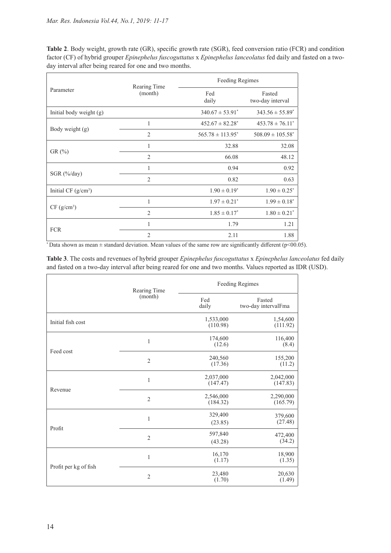**Table 2**. Body weight, growth rate (GR), specific growth rate (SGR), feed conversion ratio (FCR) and condition factor (CF) of hybrid grouper *Epinephelus fuscoguttatus* x *Epinephelus lanceolatus* fed daily and fasted on a twoday interval after being reared for one and two months.

| Parameter               | Rearing Time<br>(month) | Feeding Regimes                 |                                  |
|-------------------------|-------------------------|---------------------------------|----------------------------------|
|                         |                         | Fed<br>daily                    | Fasted<br>two-day interval       |
| Initial body weight (g) |                         | $340.67 \pm 53.91^*$            | $343.56 \pm 55.89^*$             |
| Body weight (g)         | 1                       | $452.67 \pm 82.28$ <sup>*</sup> | $453.78 \pm 76.11^*$             |
|                         | $\overline{2}$          | $565.78 \pm 113.95^*$           | $508.09 \pm 105.58$ <sup>*</sup> |
| $GR (\%)$               | $\mathbf{1}$            | 32.88                           | 32.08                            |
|                         | $\overline{2}$          | 66.08                           | 48.12                            |
| $SGR$ (%/day)           | $\mathbf{1}$            | 0.94                            | 0.92                             |
|                         | $\overline{2}$          | 0.82                            | 0.63                             |
| Initial CF $(g/cm^3)$   |                         | $1.90 \pm 0.19^*$               | $1.90 \pm 0.25$ <sup>*</sup>     |
| CF (g/cm <sup>3</sup> ) | 1                       | $1.97 \pm 0.21^*$               | $1.99 \pm 0.18^*$                |
|                         | $\overline{2}$          | $1.85 \pm 0.17^*$               | $1.80 \pm 0.21^*$                |
| <b>FCR</b>              | 1                       | 1.79                            | 1.21                             |
|                         | $\overline{2}$          | 2.11                            | 1.88                             |

 $*$  Data shown as mean  $\pm$  standard deviation. Mean values of the same row are significantly different (p<00.05).

**Table 3**. The costs and revenues of hybrid grouper *Epinephelus fuscoguttatus* x *Epinephelus lanceolatus* fed daily and fasted on a two-day interval after being reared for one and two months. Values reported as IDR (USD).

|                       | Rearing Time<br>(month) | Feeding Regimes       |                               |
|-----------------------|-------------------------|-----------------------|-------------------------------|
|                       |                         | Fed<br>daily          | Fasted<br>two-day intervalFma |
| Initial fish cost     |                         | 1,533,000<br>(110.98) | 1,54,600<br>(111.92)          |
| Feed cost             | $\mathbf{1}$            | 174,600<br>(12.6)     | 116,400<br>(8.4)              |
|                       | $\overline{2}$          | 240,560<br>(17.36)    | 155,200<br>(11.2)             |
| Revenue               | $\mathbf{1}$            | 2,037,000<br>(147.47) | 2,042,000<br>(147.83)         |
|                       | $\overline{2}$          | 2,546,000<br>(184.32) | 2,290,000<br>(165.79)         |
| Profit                | $\mathbf{1}$            | 329,400<br>(23.85)    | 379,600<br>(27.48)            |
|                       | $\overline{2}$          | 597,840<br>(43.28)    | 472,400<br>(34.2)             |
| Profit per kg of fish | $\mathbf{1}$            | 16,170<br>(1.17)      | 18,900<br>(1.35)              |
|                       | $\overline{2}$          | 23,480<br>(1.70)      | 20,630<br>(1.49)              |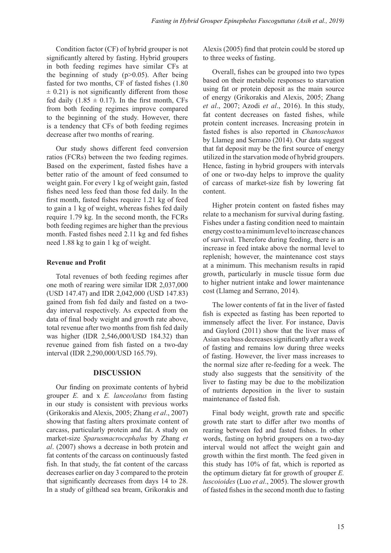Condition factor (CF) of hybrid grouper is not significantly altered by fasting. Hybrid groupers in both feeding regimes have similar CFs at the beginning of study  $(p>0.05)$ . After being fasted for two months, CF of fasted fishes (1.80  $\pm$  0.21) is not significantly different from those fed daily  $(1.85 \pm 0.17)$ . In the first month, CFs from both feeding regimes improve compared to the beginning of the study. However, there is a tendency that CFs of both feeding regimes decrease after two months of rearing.

Our study shows different feed conversion ratios (FCRs) between the two feeding regimes. Based on the experiment, fasted fishes have a better ratio of the amount of feed consumed to weight gain. For every 1 kg of weight gain, fasted fishes need less feed than those fed daily. In the first month, fasted fishes require 1.21 kg of feed to gain a 1 kg of weight, whereas fishes fed daily require 1.79 kg. In the second month, the FCRs both feeding regimes are higher than the previous month. Fasted fishes need 2.11 kg and fed fishes need 1.88 kg to gain 1 kg of weight.

# **Revenue and Profit**

Total revenues of both feeding regimes after one moth of rearing were similar IDR 2,037,000 (USD 147.47) and IDR 2,042,000 (USD 147.83) gained from fish fed daily and fasted on a twoday interval respectively. As expected from the data of final body weight and growth rate above, total revenue after two months from fish fed daily was higher (IDR 2,546,000/USD 184.32) than revenue gained from fish fasted on a two-day interval (IDR 2,290,000/USD 165.79).

# **DISCUSSION**

Our finding on proximate contents of hybrid grouper *E.* and x *E. lanceolatus* from fasting in our study is consistent with previous works (Grikorakis and Alexis, 2005; Zhang *et al*., 2007) showing that fasting alters proximate content of carcass, particularly protein and fat. A study on market-size *Sparusmacrocephalus* by Zhang *et al*. (2007) shows a decrease in both protein and fat contents of the carcass on continuously fasted fish. In that study, the fat content of the carcass decreases earlier on day 3 compared to the protein that significantly decreases from days 14 to 28. In a study of gilthead sea bream, Grikorakis and

Alexis (2005) find that protein could be stored up to three weeks of fasting.

Overall, fishes can be grouped into two types based on their metabolic responses to starvation using fat or protein deposit as the main source of energy (Grikorakis and Alexis, 2005; Zhang *et al*., 2007; Azodi *et al*., 2016). In this study, fat content decreases on fasted fishes, while protein content increases. Increasing protein in fasted fishes is also reported in *Chanoschanos* by Llameg and Serrano (2014). Our data suggest that fat deposit may be the first source of energy utilized in the starvation mode of hybrid groupers. Hence, fasting in hybrid groupers with intervals of one or two-day helps to improve the quality of carcass of market-size fish by lowering fat content.

Higher protein content on fasted fishes may relate to a mechanism for survival during fasting. Fishes under a fasting condition need to maintain energy cost to a minimum level to increase chances of survival. Therefore during feeding, there is an increase in feed intake above the normal level to replenish; however, the maintenance cost stays at a minimum. This mechanism results in rapid growth, particularly in muscle tissue form due to higher nutrient intake and lower maintenance cost (Llameg and Serrano, 2014).

The lower contents of fat in the liver of fasted fish is expected as fasting has been reported to immensely affect the liver. For instance, Davis and Gaylord (2011) show that the liver mass of Asian sea bass decreases significantly after a week of fasting and remains low during three weeks of fasting. However, the liver mass increases to the normal size after re-feeding for a week. The study also suggests that the sensitivity of the liver to fasting may be due to the mobilization of nutrients deposition in the liver to sustain maintenance of fasted fish.

Final body weight, growth rate and specific growth rate start to differ after two months of rearing between fed and fasted fishes. In other words, fasting on hybrid groupers on a two-day interval would not affect the weight gain and growth within the first month. The feed given in this study has 10% of fat, which is reported as the optimum dietary fat for growth of grouper *E. luscoioides* (Luo *et al*., 2005). The slower growth of fasted fishes in the second month due to fasting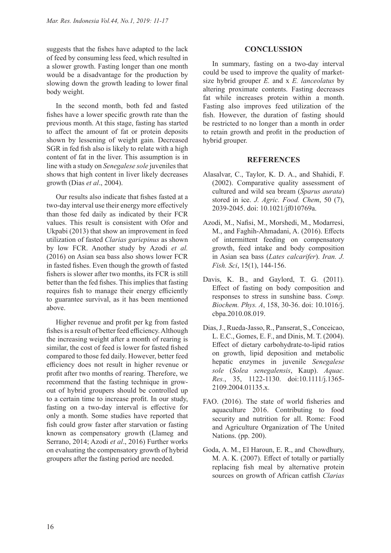suggests that the fishes have adapted to the lack of feed by consuming less feed, which resulted in a slower growth. Fasting longer than one month would be a disadvantage for the production by slowing down the growth leading to lower final body weight.

In the second month, both fed and fasted fishes have a lower specific growth rate than the previous month. At this stage, fasting has started to affect the amount of fat or protein deposits shown by lessening of weight gain. Decreased SGR in fed fish also is likely to relate with a high content of fat in the liver. This assumption is in line with a study on *Senegalese sole* juveniles that shows that high content in liver likely decreases growth (Dias *et al*., 2004).

Our results also indicate that fishes fasted at a two-day interval use their energy more effectively than those fed daily as indicated by their FCR values. This result is consistent with Ofor and Ukpabi (2013) that show an improvement in feed utilization of fasted *Clarias gariepinus* as shown by low FCR. Another study by Azodi *et al.* (2016) on Asian sea bass also shows lower FCR in fasted fishes. Even though the growth of fasted fishers is slower after two months, its FCR is still better than the fed fishes. This implies that fasting requires fish to manage their energy efficiently to guarantee survival, as it has been mentioned above.

Higher revenue and profit per kg from fasted fishes is a result of better feed efficiency. Although the increasing weight after a month of rearing is similar, the cost of feed is lower for fasted fished compared to those fed daily. However, better feed efficiency does not result in higher revenue or profit after two months of rearing. Therefore, we recommend that the fasting technique in growout of hybrid groupers should be controlled up to a certain time to increase profit. In our study, fasting on a two-day interval is effective for only a month. Some studies have reported that fish could grow faster after starvation or fasting known as compensatory growth (Llameg and Serrano, 2014; Azodi *et al*., 2016) Further works on evaluating the compensatory growth of hybrid groupers after the fasting period are needed.

# **CONCLUSSION**

In summary, fasting on a two-day interval could be used to improve the quality of marketsize hybrid grouper *E.* and x *E. lanceolatus* by altering proximate contents. Fasting decreases fat while increases protein within a month. Fasting also improves feed utilization of the fish. However, the duration of fasting should be restricted to no longer than a month in order to retain growth and profit in the production of hybrid grouper.

# **REFERENCES**

- Alasalvar, C., Taylor, K. D. A., and Shahidi, F. (2002). Comparative quality assessment of cultured and wild sea bream (*Sparus aurata*) stored in ice. *J. Agric. Food. Chem*, 50 (7), 2039-2045. doi: 10.1021/jf010769a.
- Azodi, M., Nafisi, M., Morshedi, M., Modarresi, M., and Faghih-Ahmadani, A. (2016). Effects of intermittent feeding on compensatory growth, feed intake and body composition in Asian sea bass (*Lates calcarifer*). *Iran. J. Fish. Sci*, 15(1), 144-156.
- Davis, K. B., and Gaylord, T. G. (2011). Effect of fasting on body composition and responses to stress in sunshine bass. *Comp. Biochem. Phys. A*, 158, 30-36. doi: 10.1016/j. cbpa.2010.08.019.
- Dias, J., Rueda-Jasso, R., Panserat, S., Conceicao, L. E.C., Gomes, E. F., and Dinis, M. T. (2004). Effect of dietary carbohydrate-to-lipid ratios on growth, lipid deposition and metabolic hepatic enzymes in juvenile *Senegalese sole* (*Solea senegalensis*, Kaup). *Aquac. Res.*, 35, 1122-1130. doi:10.1111/j.1365- 2109.2004.01135.x.
- FAO. (2016). The state of world fisheries and aquaculture 2016. Contributing to food security and nutrition for all. Rome: Food and Agriculture Organization of The United Nations. (pp. 200).
- Goda, A. M., El Haroun, E. R., and Chowdhury, M. A. K. (2007). Effect of totally or partially replacing fish meal by alternative protein sources on growth of African catfish *Clarias*